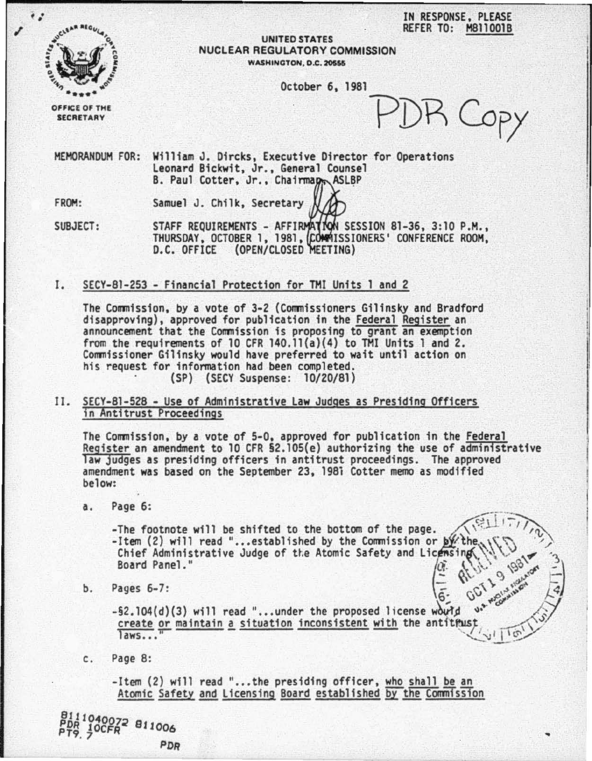IN RESPONSE, PLEASE REFER TO: MB110018



UNITED STATES NUCLEAR REGULATORY COMMISSION WASHINGTON, D.C. 20555

October 6, 1981

OFFICE OF THE<br>SECRETARY

)R Copy

**10 1/1/16** 

MEMORANDUM FOR: William J. Dircks, Executive Director for Operations Leonard Bickwit, Jr., General Counsel B. Paul Cotter, Jr., Chairmapp ASLBP

FROM: Samuel J. Chilk, Secretary

SUBJECT: STAFF REQUIREMENTS - AFFIRMATION SESSION 81-36, 3:10 P.M., THURSDAY, OCTOBER 1, 1981, COMMISSIONERS' CONFERENCE ROOM, D.C. OFFICE (OPEN/CLOSED MEETING)

I. SECY-81-253 - Financial Protection for THI Units 1 and 2

The Commission, by a vote of 3-2 (Commissioners Gilinsky and Bradford disapproving), approved for publication in the Federal Register an announcement that the Commission is proposing to grant an exemption from the requirements of 10 CFR 140.11(a)(4) to THI Units 1 and 2. Commissioner Gilinsky would have preferred to wait until action on his request for information had been completed.<br>(SP) (SECY Suspense: 10/20/81)

II. SECY-81-528 - Use of Administrative Law Judges as Presiding Officers in Antitrust Proceedings

The Commission, by a vote of 5-0, approved for publication in the Federal Register an amendment to 10 CFR §2.105(e) authorizing the use of administrative<br>law judges as presiding officers in antitrust proceedings. The approved amendment was based on the September 23, 198i Cotter memo as modified below:

a. Page 6:

-Item (2) will read "...established by the Commission -The footnote will be shifted to the bottom of the page. age 6:<br>The footnote will be shifted to the bottom of the page.<br>Item (2) will read "... established by the Commission or by the  $\bigcup_{n=1}^{\infty} \bigcup_{n=1}^{\infty} \bigcup_{n=1}^{\infty} \bigcup_{n=1}^{\infty} \bigcup_{n=1}^{\infty} \bigcup_{n=1}^{\infty} \bigcup_{n=1}^{\infty} \big$ 

b. Pages 6-7:  $\sqrt{a}$ ,  $\sqrt{b}$ ,  $\frac{1}{2}$ ,  $\frac{1}{2}$ ,  $\frac{1}{2}$ ,  $\frac{1}{2}$ ,  $\frac{1}{2}$ ,  $\frac{1}{2}$ ,  $\frac{1}{2}$ ,  $\frac{1}{2}$ ,  $\frac{1}{2}$ ,  $\frac{1}{2}$ ,  $\frac{1}{2}$ ,  $\frac{1}{2}$ ,  $\frac{1}{2}$ ,  $\frac{1}{2}$ ,  $\frac{1}{2}$ ,  $\frac{1}{2}$ ,  $\frac{1}{2}$ ,  $\frac{1$ 

rages o-7:<br>-§2.104(d)(3) will read "...under the proposed license would are allowing create or maintain a situation inconsistent with the antitrust laws. ..  $\mathcal{L}_{\text{eq}}$ 

c. Page 8:

10CFR<sup>2</sup> 811006

PDR

-Item (2) will read "...the presiding officer, who shall be an Atomic Safety and Licensing Board established by the Commission